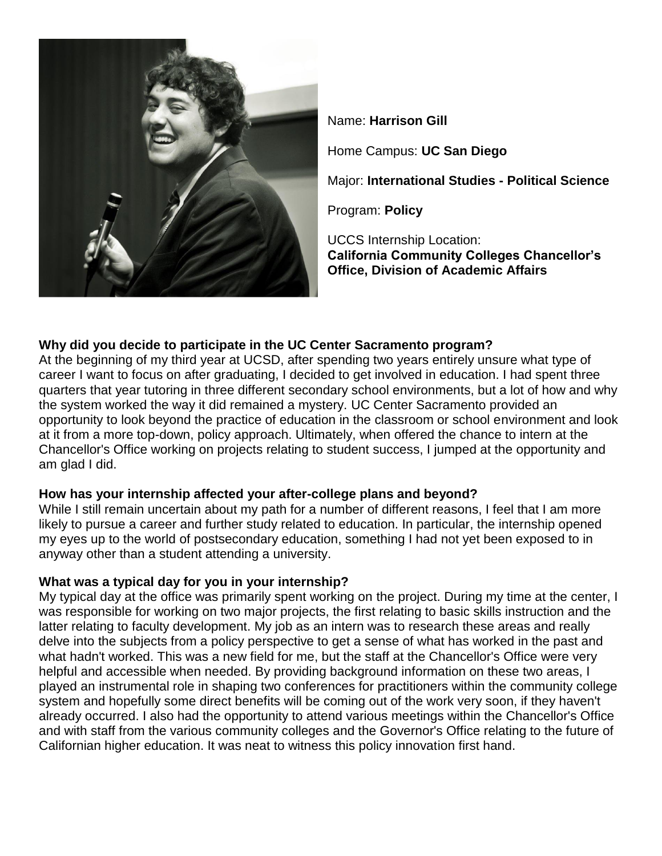

Name: **Harrison Gill** Home Campus: **UC San Diego** Major: **International Studies - Political Science** Program: **Policy** UCCS Internship Location: **California Community Colleges Chancellor's Office, Division of Academic Affairs**

# **Why did you decide to participate in the UC Center Sacramento program?**

At the beginning of my third year at UCSD, after spending two years entirely unsure what type of career I want to focus on after graduating, I decided to get involved in education. I had spent three quarters that year tutoring in three different secondary school environments, but a lot of how and why the system worked the way it did remained a mystery. UC Center Sacramento provided an opportunity to look beyond the practice of education in the classroom or school environment and look at it from a more top-down, policy approach. Ultimately, when offered the chance to intern at the Chancellor's Office working on projects relating to student success, I jumped at the opportunity and am glad I did.

## **How has your internship affected your after-college plans and beyond?**

While I still remain uncertain about my path for a number of different reasons, I feel that I am more likely to pursue a career and further study related to education. In particular, the internship opened my eyes up to the world of postsecondary education, something I had not yet been exposed to in anyway other than a student attending a university.

## **What was a typical day for you in your internship?**

My typical day at the office was primarily spent working on the project. During my time at the center, I was responsible for working on two major projects, the first relating to basic skills instruction and the latter relating to faculty development. My job as an intern was to research these areas and really delve into the subjects from a policy perspective to get a sense of what has worked in the past and what hadn't worked. This was a new field for me, but the staff at the Chancellor's Office were very helpful and accessible when needed. By providing background information on these two areas, I played an instrumental role in shaping two conferences for practitioners within the community college system and hopefully some direct benefits will be coming out of the work very soon, if they haven't already occurred. I also had the opportunity to attend various meetings within the Chancellor's Office and with staff from the various community colleges and the Governor's Office relating to the future of Californian higher education. It was neat to witness this policy innovation first hand.